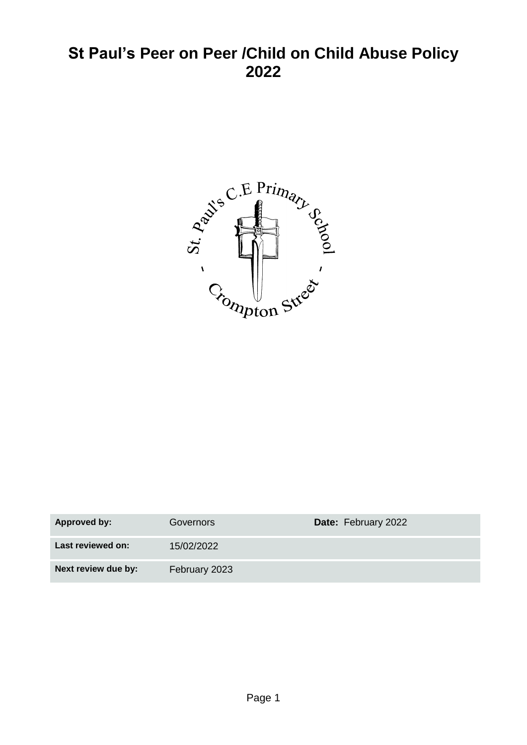# **St Paul's Peer on Peer /Child on Child Abuse Policy 2022**



| <b>Approved by:</b> | Governors     | <b>Date: February 2022</b> |
|---------------------|---------------|----------------------------|
| Last reviewed on:   | 15/02/2022    |                            |
| Next review due by: | February 2023 |                            |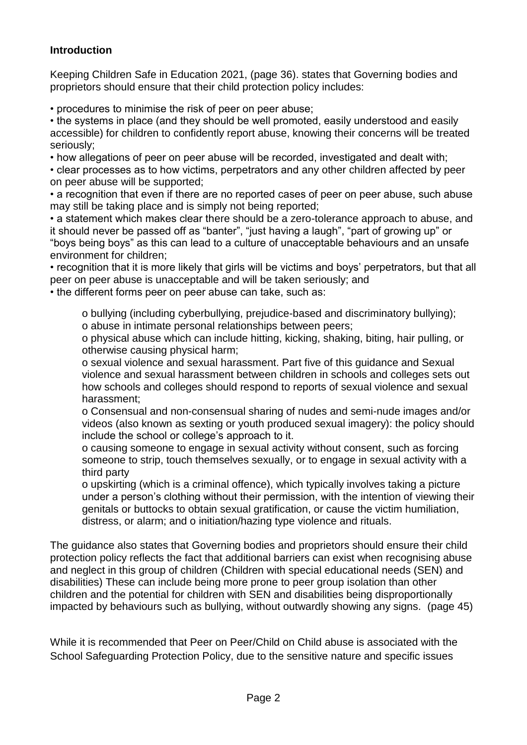#### **Introduction**

Keeping Children Safe in Education 2021, (page 36). states that Governing bodies and proprietors should ensure that their child protection policy includes:

• procedures to minimise the risk of peer on peer abuse;

• the systems in place (and they should be well promoted, easily understood and easily accessible) for children to confidently report abuse, knowing their concerns will be treated seriously;

• how allegations of peer on peer abuse will be recorded, investigated and dealt with;

• clear processes as to how victims, perpetrators and any other children affected by peer on peer abuse will be supported;

• a recognition that even if there are no reported cases of peer on peer abuse, such abuse may still be taking place and is simply not being reported;

• a statement which makes clear there should be a zero-tolerance approach to abuse, and it should never be passed off as "banter", "just having a laugh", "part of growing up" or "boys being boys" as this can lead to a culture of unacceptable behaviours and an unsafe environment for children;

• recognition that it is more likely that girls will be victims and boys' perpetrators, but that all peer on peer abuse is unacceptable and will be taken seriously; and

• the different forms peer on peer abuse can take, such as:

o bullying (including cyberbullying, prejudice-based and discriminatory bullying); o abuse in intimate personal relationships between peers;

o physical abuse which can include hitting, kicking, shaking, biting, hair pulling, or otherwise causing physical harm;

o sexual violence and sexual harassment. Part five of this guidance and Sexual violence and sexual harassment between children in schools and colleges sets out how schools and colleges should respond to reports of sexual violence and sexual harassment;

o Consensual and non-consensual sharing of nudes and semi-nude images and/or videos (also known as sexting or youth produced sexual imagery): the policy should include the school or college's approach to it.

o causing someone to engage in sexual activity without consent, such as forcing someone to strip, touch themselves sexually, or to engage in sexual activity with a third party

o upskirting (which is a criminal offence), which typically involves taking a picture under a person's clothing without their permission, with the intention of viewing their genitals or buttocks to obtain sexual gratification, or cause the victim humiliation, distress, or alarm; and o initiation/hazing type violence and rituals.

The guidance also states that Governing bodies and proprietors should ensure their child protection policy reflects the fact that additional barriers can exist when recognising abuse and neglect in this group of children (Children with special educational needs (SEN) and disabilities) These can include being more prone to peer group isolation than other children and the potential for children with SEN and disabilities being disproportionally impacted by behaviours such as bullying, without outwardly showing any signs. (page 45)

While it is recommended that Peer on Peer/Child on Child abuse is associated with the School Safeguarding Protection Policy, due to the sensitive nature and specific issues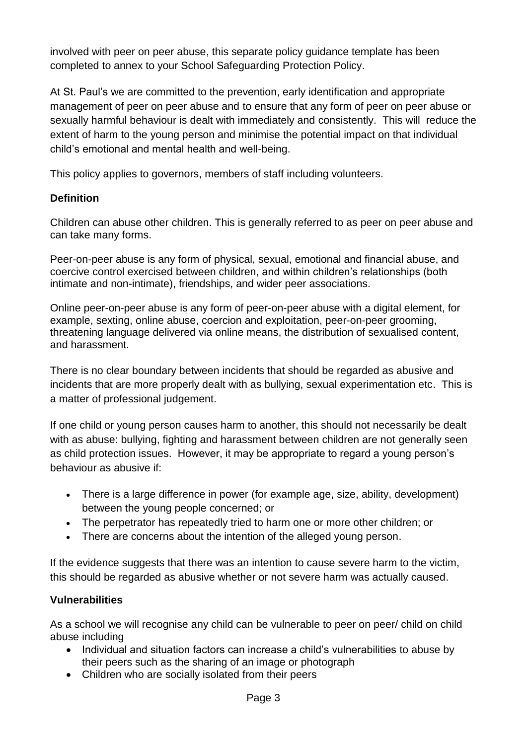involved with peer on peer abuse, this separate policy guidance template has been completed to annex to your School Safeguarding Protection Policy.

At St. Paul's we are committed to the prevention, early identification and appropriate management of peer on peer abuse and to ensure that any form of peer on peer abuse or sexually harmful behaviour is dealt with immediately and consistently. This will reduce the extent of harm to the young person and minimise the potential impact on that individual child's emotional and mental health and well-being.

This policy applies to governors, members of staff including volunteers.

# **Definition**

Children can abuse other children. This is generally referred to as peer on peer abuse and can take many forms.

Peer-on-peer abuse is any form of physical, sexual, emotional and financial abuse, and coercive control exercised between children, and within children's relationships (both intimate and non-intimate), friendships, and wider peer associations.

Online peer-on-peer abuse is any form of peer-on-peer abuse with a digital element, for example, sexting, online abuse, coercion and exploitation, peer-on-peer grooming, threatening language delivered via online means, the distribution of sexualised content, and harassment.

There is no clear boundary between incidents that should be regarded as abusive and incidents that are more properly dealt with as bullying, sexual experimentation etc. This is a matter of professional judgement.

If one child or young person causes harm to another, this should not necessarily be dealt with as abuse: bullying, fighting and harassment between children are not generally seen as child protection issues. However, it may be appropriate to regard a young person's behaviour as abusive if:

- There is a large difference in power (for example age, size, ability, development) between the young people concerned; or
- The perpetrator has repeatedly tried to harm one or more other children; or
- There are concerns about the intention of the alleged young person.

If the evidence suggests that there was an intention to cause severe harm to the victim, this should be regarded as abusive whether or not severe harm was actually caused.

# **Vulnerabilities**

As a school we will recognise any child can be vulnerable to peer on peer/ child on child abuse including

- Individual and situation factors can increase a child's vulnerabilities to abuse by their peers such as the sharing of an image or photograph
- Children who are socially isolated from their peers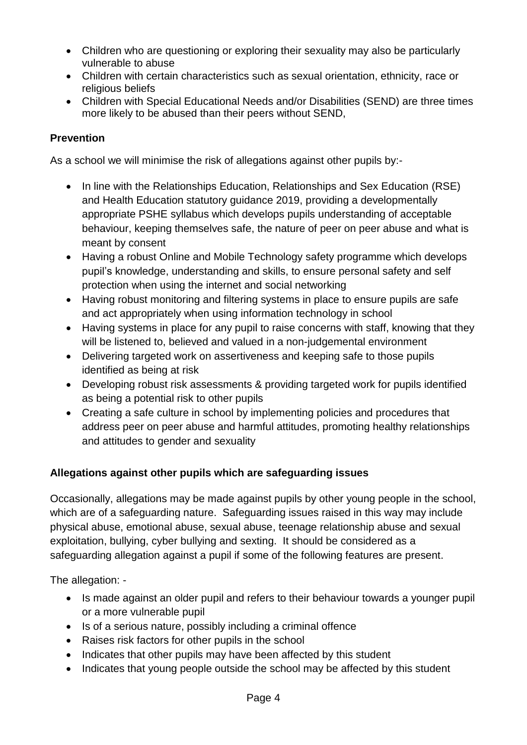- Children who are questioning or exploring their sexuality may also be particularly vulnerable to abuse
- Children with certain characteristics such as sexual orientation, ethnicity, race or religious beliefs
- Children with Special Educational Needs and/or Disabilities (SEND) are three times more likely to be abused than their peers without SEND,

# **Prevention**

As a school we will minimise the risk of allegations against other pupils by:-

- In line with the Relationships Education, Relationships and Sex Education (RSE) and Health Education statutory guidance 2019, providing a developmentally appropriate PSHE syllabus which develops pupils understanding of acceptable behaviour, keeping themselves safe, the nature of peer on peer abuse and what is meant by consent
- Having a robust Online and Mobile Technology safety programme which develops pupil's knowledge, understanding and skills, to ensure personal safety and self protection when using the internet and social networking
- Having robust monitoring and filtering systems in place to ensure pupils are safe and act appropriately when using information technology in school
- Having systems in place for any pupil to raise concerns with staff, knowing that they will be listened to, believed and valued in a non-judgemental environment
- Delivering targeted work on assertiveness and keeping safe to those pupils identified as being at risk
- Developing robust risk assessments & providing targeted work for pupils identified as being a potential risk to other pupils
- Creating a safe culture in school by implementing policies and procedures that address peer on peer abuse and harmful attitudes, promoting healthy relationships and attitudes to gender and sexuality

# **Allegations against other pupils which are safeguarding issues**

Occasionally, allegations may be made against pupils by other young people in the school, which are of a safeguarding nature. Safeguarding issues raised in this way may include physical abuse, emotional abuse, sexual abuse, teenage relationship abuse and sexual exploitation, bullying, cyber bullying and sexting. It should be considered as a safeguarding allegation against a pupil if some of the following features are present.

The allegation: -

- Is made against an older pupil and refers to their behaviour towards a younger pupil or a more vulnerable pupil
- Is of a serious nature, possibly including a criminal offence
- Raises risk factors for other pupils in the school
- Indicates that other pupils may have been affected by this student
- Indicates that young people outside the school may be affected by this student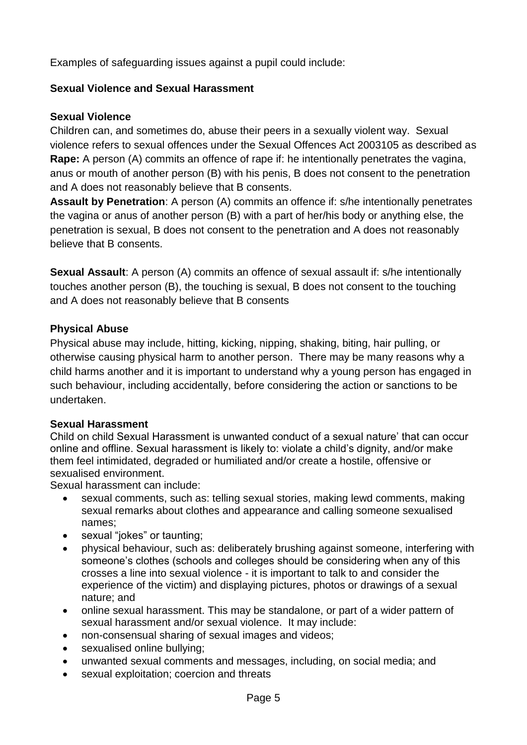Examples of safeguarding issues against a pupil could include:

#### **Sexual Violence and Sexual Harassment**

#### **Sexual Violence**

Children can, and sometimes do, abuse their peers in a sexually violent way. Sexual violence refers to sexual offences under the Sexual Offences Act 2003105 as described as **Rape:** A person (A) commits an offence of rape if: he intentionally penetrates the vagina, anus or mouth of another person (B) with his penis, B does not consent to the penetration and A does not reasonably believe that B consents.

**Assault by Penetration**: A person (A) commits an offence if: s/he intentionally penetrates the vagina or anus of another person (B) with a part of her/his body or anything else, the penetration is sexual, B does not consent to the penetration and A does not reasonably believe that B consents.

**Sexual Assault:** A person (A) commits an offence of sexual assault if: s/he intentionally touches another person (B), the touching is sexual, B does not consent to the touching and A does not reasonably believe that B consents

#### **Physical Abuse**

Physical abuse may include, hitting, kicking, nipping, shaking, biting, hair pulling, or otherwise causing physical harm to another person. There may be many reasons why a child harms another and it is important to understand why a young person has engaged in such behaviour, including accidentally, before considering the action or sanctions to be undertaken.

#### **Sexual Harassment**

Child on child Sexual Harassment is unwanted conduct of a sexual nature' that can occur online and offline. Sexual harassment is likely to: violate a child's dignity, and/or make them feel intimidated, degraded or humiliated and/or create a hostile, offensive or sexualised environment.

Sexual harassment can include:

- sexual comments, such as: telling sexual stories, making lewd comments, making sexual remarks about clothes and appearance and calling someone sexualised names;
- sexual "jokes" or taunting;
- physical behaviour, such as: deliberately brushing against someone, interfering with someone's clothes (schools and colleges should be considering when any of this crosses a line into sexual violence - it is important to talk to and consider the experience of the victim) and displaying pictures, photos or drawings of a sexual nature; and
- online sexual harassment. This may be standalone, or part of a wider pattern of sexual harassment and/or sexual violence. It may include:
- non-consensual sharing of sexual images and videos;
- sexualised online bullying;
- unwanted sexual comments and messages, including, on social media; and
- sexual exploitation; coercion and threats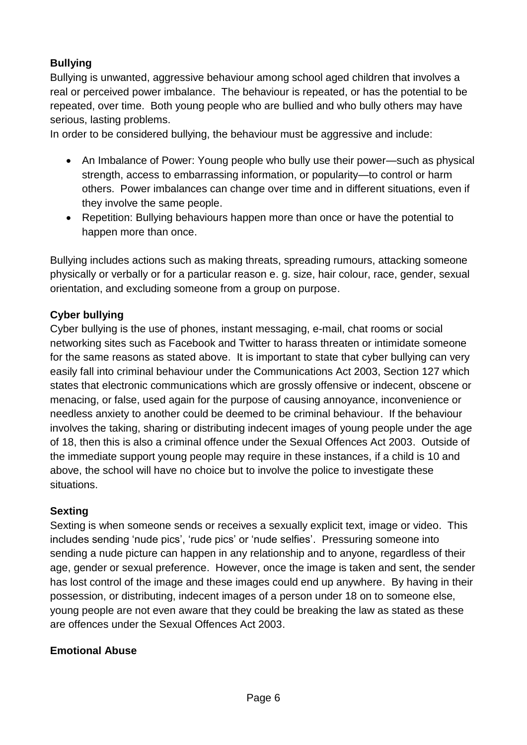# **Bullying**

Bullying is unwanted, aggressive behaviour among school aged children that involves a real or perceived power imbalance. The behaviour is repeated, or has the potential to be repeated, over time. Both young people who are bullied and who bully others may have serious, lasting problems.

In order to be considered bullying, the behaviour must be aggressive and include:

- An Imbalance of Power: Young people who bully use their power—such as physical strength, access to embarrassing information, or popularity—to control or harm others. Power imbalances can change over time and in different situations, even if they involve the same people.
- Repetition: Bullying behaviours happen more than once or have the potential to happen more than once.

Bullying includes actions such as making threats, spreading rumours, attacking someone physically or verbally or for a particular reason e. g. size, hair colour, race, gender, sexual orientation, and excluding someone from a group on purpose.

# **Cyber bullying**

Cyber bullying is the use of phones, instant messaging, e-mail, chat rooms or social networking sites such as Facebook and Twitter to harass threaten or intimidate someone for the same reasons as stated above. It is important to state that cyber bullying can very easily fall into criminal behaviour under the Communications Act 2003, Section 127 which states that electronic communications which are grossly offensive or indecent, obscene or menacing, or false, used again for the purpose of causing annoyance, inconvenience or needless anxiety to another could be deemed to be criminal behaviour. If the behaviour involves the taking, sharing or distributing indecent images of young people under the age of 18, then this is also a criminal offence under the Sexual Offences Act 2003. Outside of the immediate support young people may require in these instances, if a child is 10 and above, the school will have no choice but to involve the police to investigate these situations.

# **Sexting**

Sexting is when someone sends or receives a sexually explicit text, image or video. This includes sending 'nude pics', 'rude pics' or 'nude selfies'. Pressuring someone into sending a nude picture can happen in any relationship and to anyone, regardless of their age, gender or sexual preference. However, once the image is taken and sent, the sender has lost control of the image and these images could end up anywhere. By having in their possession, or distributing, indecent images of a person under 18 on to someone else, young people are not even aware that they could be breaking the law as stated as these are offences under the Sexual Offences Act 2003.

#### **Emotional Abuse**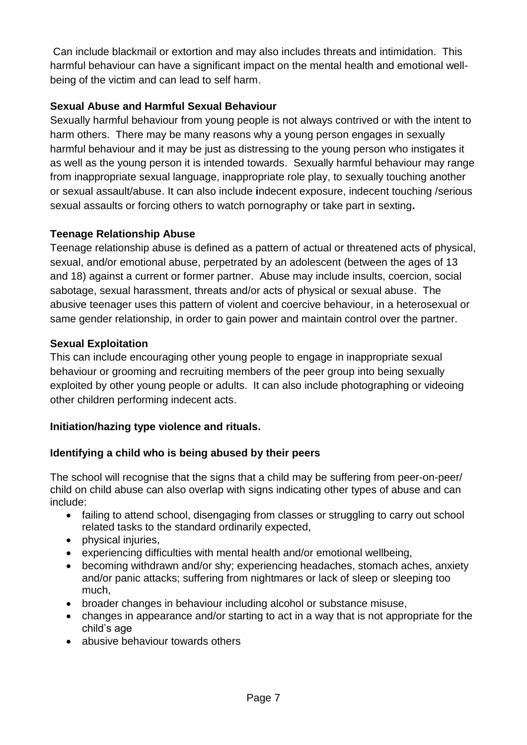Can include blackmail or extortion and may also includes threats and intimidation. This harmful behaviour can have a significant impact on the mental health and emotional wellbeing of the victim and can lead to self harm.

# **Sexual Abuse and Harmful Sexual Behaviour**

Sexually harmful behaviour from young people is not always contrived or with the intent to harm others. There may be many reasons why a young person engages in sexually harmful behaviour and it may be just as distressing to the young person who instigates it as well as the young person it is intended towards. Sexually harmful behaviour may range from inappropriate sexual language, inappropriate role play, to sexually touching another or sexual assault/abuse. It can also include **i**ndecent exposure, indecent touching /serious sexual assaults or forcing others to watch pornography or take part in sexting**.** 

# **Teenage Relationship Abuse**

Teenage relationship abuse is defined as a pattern of actual or threatened acts of physical, sexual, and/or emotional abuse, perpetrated by an adolescent (between the ages of 13 and 18) against a current or former partner. Abuse may include insults, coercion, social sabotage, sexual harassment, threats and/or acts of physical or sexual abuse. The abusive teenager uses this pattern of violent and coercive behaviour, in a heterosexual or same gender relationship, in order to gain power and maintain control over the partner.

# **Sexual Exploitation**

This can include encouraging other young people to engage in inappropriate sexual behaviour or grooming and recruiting members of the peer group into being sexually exploited by other young people or adults. It can also include photographing or videoing other children performing indecent acts.

# **Initiation/hazing type violence and rituals.**

# **Identifying a child who is being abused by their peers**

The school will recognise that the signs that a child may be suffering from peer-on-peer/ child on child abuse can also overlap with signs indicating other types of abuse and can include:

- failing to attend school, disengaging from classes or struggling to carry out school related tasks to the standard ordinarily expected,
- physical injuries.
- experiencing difficulties with mental health and/or emotional wellbeing,
- becoming withdrawn and/or shy; experiencing headaches, stomach aches, anxiety and/or panic attacks; suffering from nightmares or lack of sleep or sleeping too much,
- broader changes in behaviour including alcohol or substance misuse,
- changes in appearance and/or starting to act in a way that is not appropriate for the child's age
- abusive behaviour towards others